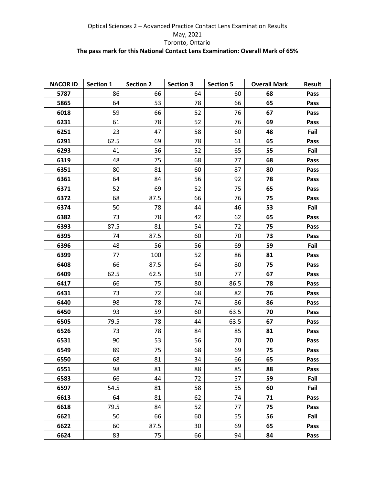| <b>NACOR ID</b> | Section 1 | <b>Section 2</b> | <b>Section 3</b> | <b>Section 5</b> | <b>Overall Mark</b> | <b>Result</b> |
|-----------------|-----------|------------------|------------------|------------------|---------------------|---------------|
| 5787            | 86        | 66               | 64               | 60               | 68                  | Pass          |
| 5865            | 64        | 53               | 78               | 66               | 65                  | Pass          |
| 6018            | 59        | 66               | 52               | 76               | 67                  | Pass          |
| 6231            | 61        | 78               | 52               | 76               | 69                  | Pass          |
| 6251            | 23        | 47               | 58               | 60               | 48                  | Fail          |
| 6291            | 62.5      | 69               | 78               | 61               | 65                  | Pass          |
| 6293            | 41        | 56               | 52               | 65               | 55                  | Fail          |
| 6319            | 48        | 75               | 68               | 77               | 68                  | Pass          |
| 6351            | 80        | 81               | 60               | 87               | 80                  | Pass          |
| 6361            | 64        | 84               | 56               | 92               | 78                  | Pass          |
| 6371            | 52        | 69               | 52               | 75               | 65                  | Pass          |
| 6372            | 68        | 87.5             | 66               | 76               | 75                  | Pass          |
| 6374            | 50        | 78               | 44               | 46               | 53                  | Fail          |
| 6382            | 73        | 78               | 42               | 62               | 65                  | Pass          |
| 6393            | 87.5      | 81               | 54               | 72               | 75                  | Pass          |
| 6395            | 74        | 87.5             | 60               | 70               | 73                  | Pass          |
| 6396            | 48        | 56               | 56               | 69               | 59                  | Fail          |
| 6399            | 77        | 100              | 52               | 86               | 81                  | Pass          |
| 6408            | 66        | 87.5             | 64               | 80               | 75                  | Pass          |
| 6409            | 62.5      | 62.5             | 50               | 77               | 67                  | Pass          |
| 6417            | 66        | 75               | 80               | 86.5             | 78                  | Pass          |
| 6431            | 73        | 72               | 68               | 82               | 76                  | Pass          |
| 6440            | 98        | 78               | 74               | 86               | 86                  | Pass          |
| 6450            | 93        | 59               | 60               | 63.5             | 70                  | Pass          |
| 6505            | 79.5      | 78               | 44               | 63.5             | 67                  | Pass          |
| 6526            | 73        | 78               | 84               | 85               | 81                  | Pass          |
| 6531            | 90        | 53               | 56               | 70               | 70                  | Pass          |
| 6549            | 89        | 75               | 68               | 69               | 75                  | Pass          |
| 6550            | 68        | 81               | 34               | 66               | 65                  | Pass          |
| 6551            | 98        | 81               | 88               | 85               | 88                  | Pass          |
| 6583            | 66        | 44               | 72               | 57               | 59                  | Fail          |
| 6597            | 54.5      | 81               | 58               | 55               | 60                  | Fail          |
| 6613            | 64        | 81               | 62               | 74               | 71                  | Pass          |
| 6618            | 79.5      | 84               | 52               | 77               | 75                  | Pass          |
| 6621            | 50        | 66               | 60               | 55               | 56                  | Fail          |
| 6622            | 60        | 87.5             | 30               | 69               | 65                  | Pass          |
| 6624            | 83        | 75               | 66               | 94               | 84                  | Pass          |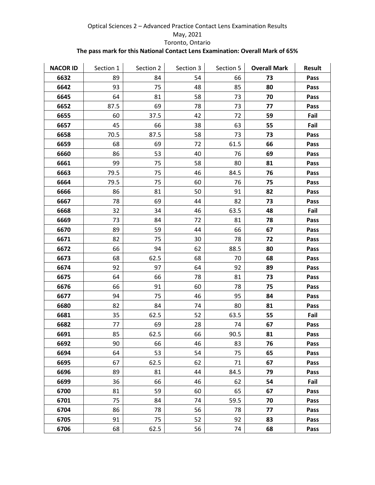| <b>NACOR ID</b> | Section 1 | Section 2 | Section 3 | Section 5 | <b>Overall Mark</b> | <b>Result</b> |
|-----------------|-----------|-----------|-----------|-----------|---------------------|---------------|
| 6632            | 89        | 84        | 54        | 66        | 73                  | Pass          |
| 6642            | 93        | 75        | 48        | 85        | 80                  | Pass          |
| 6645            | 64        | 81        | 58        | 73        | 70                  | Pass          |
| 6652            | 87.5      | 69        | 78        | 73        | 77                  | Pass          |
| 6655            | 60        | 37.5      | 42        | 72        | 59                  | Fail          |
| 6657            | 45        | 66        | 38        | 63        | 55                  | Fail          |
| 6658            | 70.5      | 87.5      | 58        | 73        | 73                  | Pass          |
| 6659            | 68        | 69        | 72        | 61.5      | 66                  | Pass          |
| 6660            | 86        | 53        | 40        | 76        | 69                  | Pass          |
| 6661            | 99        | 75        | 58        | 80        | 81                  | Pass          |
| 6663            | 79.5      | 75        | 46        | 84.5      | 76                  | Pass          |
| 6664            | 79.5      | 75        | 60        | 76        | 75                  | Pass          |
| 6666            | 86        | 81        | 50        | 91        | 82                  | Pass          |
| 6667            | 78        | 69        | 44        | 82        | 73                  | Pass          |
| 6668            | 32        | 34        | 46        | 63.5      | 48                  | Fail          |
| 6669            | 73        | 84        | 72        | 81        | 78                  | Pass          |
| 6670            | 89        | 59        | 44        | 66        | 67                  | Pass          |
| 6671            | 82        | 75        | 30        | 78        | 72                  | Pass          |
| 6672            | 66        | 94        | 62        | 88.5      | 80                  | Pass          |
| 6673            | 68        | 62.5      | 68        | 70        | 68                  | Pass          |
| 6674            | 92        | 97        | 64        | 92        | 89                  | Pass          |
| 6675            | 64        | 66        | 78        | 81        | 73                  | Pass          |
| 6676            | 66        | 91        | 60        | 78        | 75                  | Pass          |
| 6677            | 94        | 75        | 46        | 95        | 84                  | Pass          |
| 6680            | 82        | 84        | 74        | 80        | 81                  | Pass          |
| 6681            | 35        | 62.5      | 52        | 63.5      | 55                  | Fail          |
| 6682            | 77        | 69        | 28        | 74        | 67                  | Pass          |
| 6691            | 85        | 62.5      | 66        | 90.5      | 81                  | Pass          |
| 6692            | 90        | 66        | 46        | 83        | 76                  | Pass          |
| 6694            | 64        | 53        | 54        | 75        | 65                  | Pass          |
| 6695            | 67        | 62.5      | 62        | 71        | 67                  | Pass          |
| 6696            | 89        | 81        | 44        | 84.5      | 79                  | Pass          |
| 6699            | 36        | 66        | 46        | 62        | 54                  | Fail          |
| 6700            | 81        | 59        | 60        | 65        | 67                  | Pass          |
| 6701            | 75        | 84        | 74        | 59.5      | 70                  | Pass          |
| 6704            | 86        | 78        | 56        | 78        | 77                  | Pass          |
| 6705            | 91        | 75        | 52        | 92        | 83                  | Pass          |
| 6706            | 68        | 62.5      | 56        | 74        | 68                  | Pass          |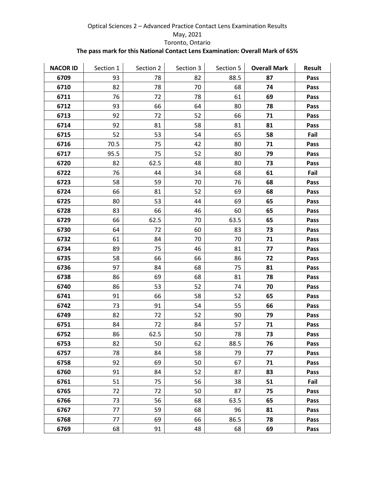| <b>NACOR ID</b> | Section 1 | Section 2 | Section 3 | Section 5 | <b>Overall Mark</b> | <b>Result</b> |
|-----------------|-----------|-----------|-----------|-----------|---------------------|---------------|
| 6709            | 93        | 78        | 82        | 88.5      | 87                  | Pass          |
| 6710            | 82        | 78        | 70        | 68        | 74                  | Pass          |
| 6711            | 76        | 72        | 78        | 61        | 69                  | Pass          |
| 6712            | 93        | 66        | 64        | 80        | 78                  | Pass          |
| 6713            | 92        | 72        | 52        | 66        | 71                  | Pass          |
| 6714            | 92        | 81        | 58        | 81        | 81                  | Pass          |
| 6715            | 52        | 53        | 54        | 65        | 58                  | Fail          |
| 6716            | 70.5      | 75        | 42        | 80        | 71                  | Pass          |
| 6717            | 95.5      | 75        | 52        | 80        | 79                  | Pass          |
| 6720            | 82        | 62.5      | 48        | 80        | 73                  | Pass          |
| 6722            | 76        | 44        | 34        | 68        | 61                  | Fail          |
| 6723            | 58        | 59        | 70        | 76        | 68                  | Pass          |
| 6724            | 66        | 81        | 52        | 69        | 68                  | Pass          |
| 6725            | 80        | 53        | 44        | 69        | 65                  | Pass          |
| 6728            | 83        | 66        | 46        | 60        | 65                  | Pass          |
| 6729            | 66        | 62.5      | 70        | 63.5      | 65                  | Pass          |
| 6730            | 64        | 72        | 60        | 83        | 73                  | Pass          |
| 6732            | 61        | 84        | 70        | 70        | 71                  | Pass          |
| 6734            | 89        | 75        | 46        | 81        | 77                  | Pass          |
| 6735            | 58        | 66        | 66        | 86        | 72                  | Pass          |
| 6736            | 97        | 84        | 68        | 75        | 81                  | Pass          |
| 6738            | 86        | 69        | 68        | 81        | 78                  | Pass          |
| 6740            | 86        | 53        | 52        | 74        | 70                  | Pass          |
| 6741            | 91        | 66        | 58        | 52        | 65                  | Pass          |
| 6742            | 73        | 91        | 54        | 55        | 66                  | Pass          |
| 6749            | 82        | 72        | 52        | 90        | 79                  | Pass          |
| 6751            | 84        | 72        | 84        | 57        | 71                  | Pass          |
| 6752            | 86        | 62.5      | 50        | 78        | 73                  | Pass          |
| 6753            | 82        | 50        | 62        | 88.5      | 76                  | Pass          |
| 6757            | 78        | 84        | 58        | 79        | 77                  | Pass          |
| 6758            | 92        | 69        | 50        | 67        | 71                  | Pass          |
| 6760            | 91        | 84        | 52        | 87        | 83                  | Pass          |
| 6761            | 51        | 75        | 56        | 38        | 51                  | Fail          |
| 6765            | 72        | 72        | 50        | 87        | 75                  | Pass          |
| 6766            | 73        | 56        | 68        | 63.5      | 65                  | Pass          |
| 6767            | 77        | 59        | 68        | 96        | 81                  | Pass          |
| 6768            | 77        | 69        | 66        | 86.5      | 78                  | Pass          |
| 6769            | 68        | 91        | 48        | 68        | 69                  | Pass          |